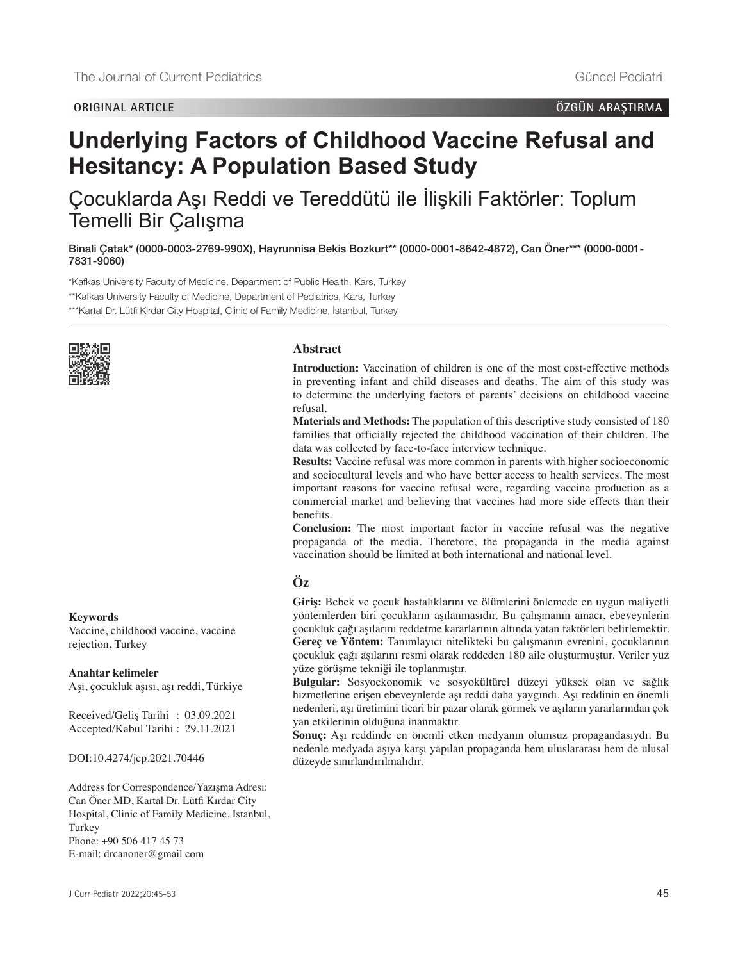# **Underlying Factors of Childhood Vaccine Refusal and Hesitancy: A Population Based Study**

Çocuklarda Aşı Reddi ve Tereddütü ile İlişkili Faktörler: Toplum Temelli Bir Çalışma

Binali Çatak\* [\(0000-0003-2769-990X\),](https://orcid.org/0000-0003-2769-990X) Hayrunnisa Bekis Bozkurt\*\* [\(0000-0001-8642-4872\)](https://orcid.org/0000-0001-8642-4872), Can Öner\*\*\* [\(0000-0001-](https://orcid.org/0000-0001-7831-9060) [7831-9060\)](https://orcid.org/0000-0001-7831-9060)

\*Kafkas University Faculty of Medicine, Department of Public Health, Kars, Turkey \*\*Kafkas University Faculty of Medicine, Department of Pediatrics, Kars, Turkey \*\*\*Kartal Dr. Lütfi Kırdar City Hospital, Clinic of Family Medicine, İstanbul, Turkey



#### **Abstract**

**Introduction:** Vaccination of children is one of the most cost-effective methods in preventing infant and child diseases and deaths. The aim of this study was to determine the underlying factors of parents' decisions on childhood vaccine refusal.

**Materials and Methods:** The population of this descriptive study consisted of 180 families that officially rejected the childhood vaccination of their children. The data was collected by face-to-face interview technique.

**Results:** Vaccine refusal was more common in parents with higher socioeconomic and sociocultural levels and who have better access to health services. The most important reasons for vaccine refusal were, regarding vaccine production as a commercial market and believing that vaccines had more side effects than their benefits.

**Conclusion:** The most important factor in vaccine refusal was the negative propaganda of the media. Therefore, the propaganda in the media against vaccination should be limited at both international and national level.

### **Öz**

**Giriş:** Bebek ve çocuk hastalıklarını ve ölümlerini önlemede en uygun maliyetli yöntemlerden biri çocukların aşılanmasıdır. Bu çalışmanın amacı, ebeveynlerin çocukluk çağı aşılarını reddetme kararlarının altında yatan faktörleri belirlemektir. **Gereç ve Yöntem:** Tanımlayıcı nitelikteki bu çalışmanın evrenini, çocuklarının çocukluk çağı aşılarını resmi olarak reddeden 180 aile oluşturmuştur. Veriler yüz yüze görüşme tekniği ile toplanmıştır.

**Bulgular:** Sosyoekonomik ve sosyokültürel düzeyi yüksek olan ve sağlık hizmetlerine erişen ebeveynlerde aşı reddi daha yaygındı. Aşı reddinin en önemli nedenleri, aşı üretimini ticari bir pazar olarak görmek ve aşıların yararlarından çok yan etkilerinin olduğuna inanmaktır.

**Sonuç:** Aşı reddinde en önemli etken medyanın olumsuz propagandasıydı. Bu nedenle medyada aşıya karşı yapılan propaganda hem uluslararası hem de ulusal düzeyde sınırlandırılmalıdır.

#### **Keywords**

Vaccine, childhood vaccine, vaccine rejection, Turkey

#### **Anahtar kelimeler**

Aşı, çocukluk aşısı, aşı reddi, Türkiye

Received/Geliş Tarihi : 03.09.2021 Accepted/Kabul Tarihi : 29.11.2021

DOI:10.4274/jcp.2021.70446

Address for Correspondence/Yazışma Adresi: Can Öner MD, Kartal Dr. Lütfi Kırdar City Hospital, Clinic of Family Medicine, İstanbul, Turkey Phone: +90 506 417 45 73 E-mail: drcanoner@gmail.com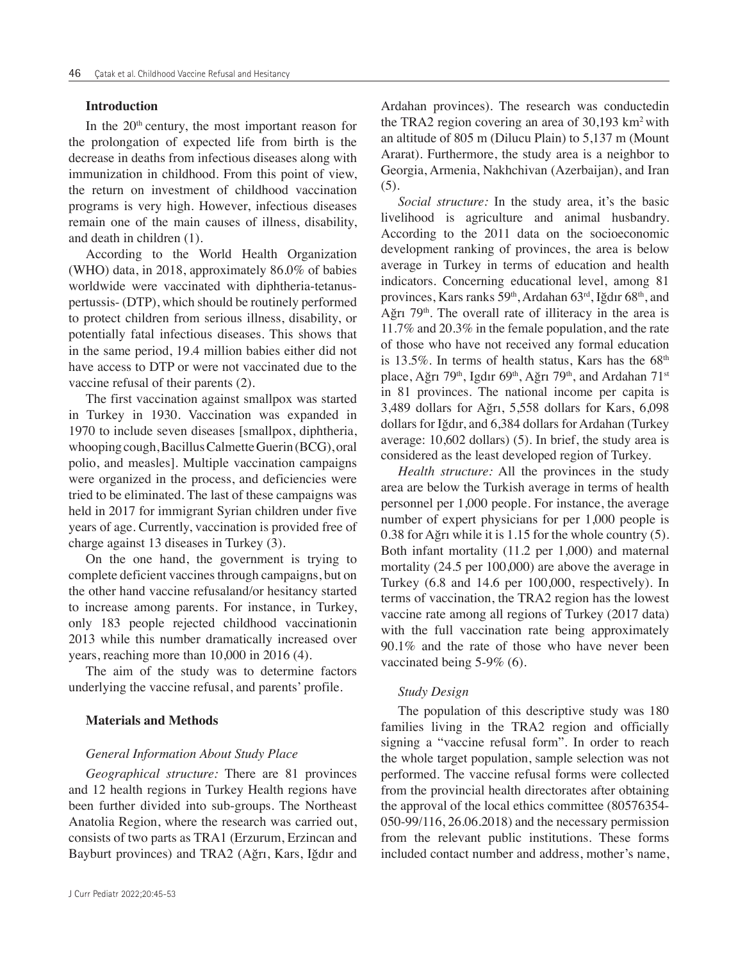#### **Introduction**

In the 20<sup>th</sup> century, the most important reason for the prolongation of expected life from birth is the decrease in deaths from infectious diseases along with immunization in childhood. From this point of view, the return on investment of childhood vaccination programs is very high. However, infectious diseases remain one of the main causes of illness, disability, and death in children (1).

According to the World Health Organization (WHO) data, in 2018, approximately 86.0% of babies worldwide were vaccinated with diphtheria-tetanuspertussis- (DTP), which should be routinely performed to protect children from serious illness, disability, or potentially fatal infectious diseases. This shows that in the same period, 19.4 million babies either did not have access to DTP or were not vaccinated due to the vaccine refusal of their parents (2).

The first vaccination against smallpox was started in Turkey in 1930. Vaccination was expanded in 1970 to include seven diseases [smallpox, diphtheria, whooping cough, Bacillus Calmette Guerin (BCG), oral polio, and measles]. Multiple vaccination campaigns were organized in the process, and deficiencies were tried to be eliminated. The last of these campaigns was held in 2017 for immigrant Syrian children under five years of age. Currently, vaccination is provided free of charge against 13 diseases in Turkey (3).

On the one hand, the government is trying to complete deficient vaccines through campaigns, but on the other hand vaccine refusaland/or hesitancy started to increase among parents. For instance, in Turkey, only 183 people rejected childhood vaccinationin 2013 while this number dramatically increased over years, reaching more than 10,000 in 2016 (4).

The aim of the study was to determine factors underlying the vaccine refusal, and parents' profile.

#### **Materials and Methods**

#### *General Information About Study Place*

*Geographical structure:* There are 81 provinces and 12 health regions in Turkey Health regions have been further divided into sub-groups. The Northeast Anatolia Region, where the research was carried out, consists of two parts as TRA1 (Erzurum, Erzincan and Bayburt provinces) and TRA2 (Ağrı, Kars, Iğdır and

Ardahan provinces). The research was conductedin the TRA2 region covering an area of  $30,193$  km<sup>2</sup> with an altitude of 805 m (Dilucu Plain) to 5,137 m (Mount Ararat). Furthermore, the study area is a neighbor to Georgia, Armenia, Nakhchivan (Azerbaijan), and Iran (5).

*Social structure:* In the study area, it's the basic livelihood is agriculture and animal husbandry. According to the 2011 data on the socioeconomic development ranking of provinces, the area is below average in Turkey in terms of education and health indicators. Concerning educational level, among 81 provinces, Kars ranks 59th, Ardahan 63rd, Iğdır 68th, and Ağrı 79<sup>th</sup>. The overall rate of illiteracy in the area is 11.7% and 20.3% in the female population, and the rate of those who have not received any formal education is 13.5%. In terms of health status, Kars has the  $68<sup>th</sup>$ place, Ağrı 79<sup>th</sup>, Igdır 69<sup>th</sup>, Ağrı 79<sup>th</sup>, and Ardahan 71<sup>st</sup> in 81 provinces. The national income per capita is 3,489 dollars for Ağrı, 5,558 dollars for Kars, 6,098 dollars for Iğdır, and 6,384 dollars for Ardahan (Turkey average: 10,602 dollars) (5). In brief, the study area is considered as the least developed region of Turkey.

*Health structure:* All the provinces in the study area are below the Turkish average in terms of health personnel per 1,000 people. For instance, the average number of expert physicians for per 1,000 people is 0.38 for Ağrı while it is 1.15 for the whole country (5). Both infant mortality (11.2 per 1,000) and maternal mortality (24.5 per 100,000) are above the average in Turkey (6.8 and 14.6 per 100,000, respectively). In terms of vaccination, the TRA2 region has the lowest vaccine rate among all regions of Turkey (2017 data) with the full vaccination rate being approximately 90.1% and the rate of those who have never been vaccinated being 5-9% (6).

### *Study Design*

The population of this descriptive study was 180 families living in the TRA2 region and officially signing a "vaccine refusal form". In order to reach the whole target population, sample selection was not performed. The vaccine refusal forms were collected from the provincial health directorates after obtaining the approval of the local ethics committee (80576354- 050-99/116, 26.06.2018) and the necessary permission from the relevant public institutions. These forms included contact number and address, mother's name,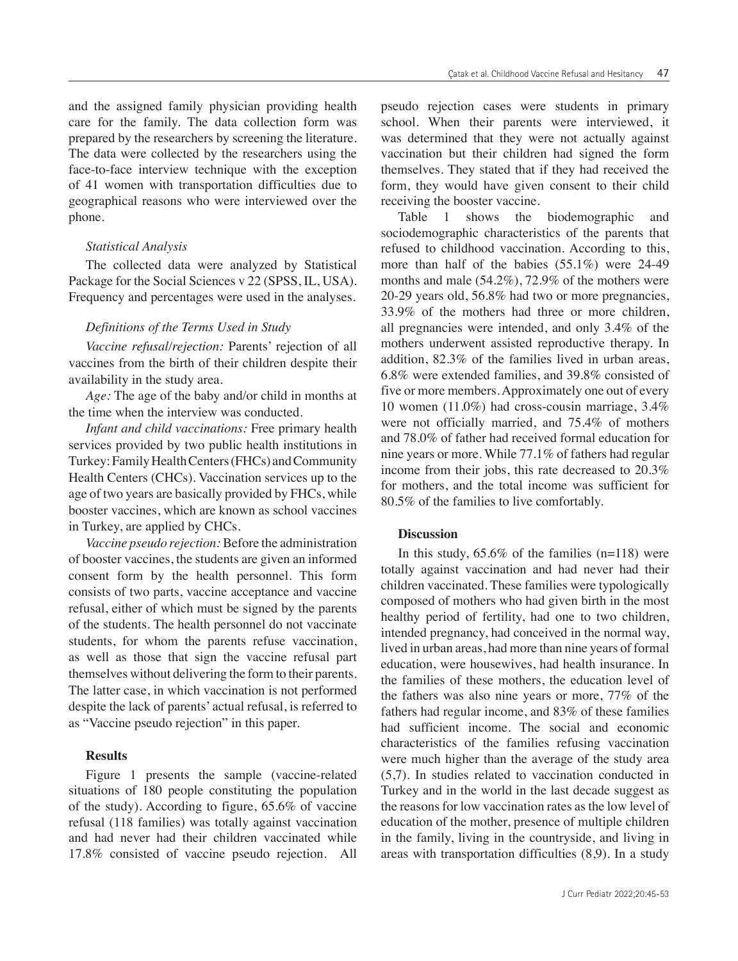and the assigned family physician providing health care for the family. The data collection form was prepared by the researchers by screening the literature. The data were collected by the researchers using the face-to-face interview technique with the exception of 41 women with transportation difficulties due to geographical reasons who were interviewed over the phone.

#### *Statistical Analysis*

The collected data were analyzed by Statistical Package for the Social Sciences v 22 (SPSS, IL, USA). Frequency and percentages were used in the analyses.

#### *Definitions of the Terms Used in Study*

*Vaccine refusal/rejection:* Parents' rejection of all vaccines from the birth of their children despite their availability in the study area.

*Age:* The age of the baby and/or child in months at the time when the interview was conducted.

*Infant and child vaccinations:* Free primary health services provided by two public health institutions in Turkey: Family Health Centers (FHCs) and Community Health Centers (CHCs). Vaccination services up to the age of two years are basically provided by FHCs, while booster vaccines, which are known as school vaccines in Turkey, are applied by CHCs.

*Vaccine pseudo rejection:* Before the administration of booster vaccines, the students are given an informed consent form by the health personnel. This form consists of two parts, vaccine acceptance and vaccine refusal, either of which must be signed by the parents of the students. The health personnel do not vaccinate students, for whom the parents refuse vaccination, as well as those that sign the vaccine refusal part themselves without delivering the form to their parents. The latter case, in which vaccination is not performed despite the lack of parents' actual refusal, is referred to as "Vaccine pseudo rejection" in this paper.

#### **Results**

Figure 1 presents the sample (vaccine-related situations of 180 people constituting the population of the study). According to figure, 65.6% of vaccine refusal (118 families) was totally against vaccination and had never had their children vaccinated while 17.8% consisted of vaccine pseudo rejection. All pseudo rejection cases were students in primary school. When their parents were interviewed, it was determined that they were not actually against vaccination but their children had signed the form themselves. They stated that if they had received the form, they would have given consent to their child receiving the booster vaccine.

Table 1 shows the biodemographic and sociodemographic characteristics of the parents that refused to childhood vaccination. According to this, more than half of the babies (55.1%) were 24-49 months and male (54.2%), 72.9% of the mothers were 20-29 years old, 56.8% had two or more pregnancies, 33.9% of the mothers had three or more children, all pregnancies were intended, and only 3.4% of the mothers underwent assisted reproductive therapy. In addition, 82.3% of the families lived in urban areas, 6.8% were extended families, and 39.8% consisted of five or more members. Approximately one out of every 10 women (11.0%) had cross-cousin marriage, 3.4% were not officially married, and 75.4% of mothers and 78.0% of father had received formal education for nine years or more. While 77.1% of fathers had regular income from their jobs, this rate decreased to 20.3% for mothers, and the total income was sufficient for 80.5% of the families to live comfortably.

#### **Discussion**

In this study,  $65.6\%$  of the families (n=118) were totally against vaccination and had never had their children vaccinated. These families were typologically composed of mothers who had given birth in the most healthy period of fertility, had one to two children, intended pregnancy, had conceived in the normal way, lived in urban areas, had more than nine years of formal education, were housewives, had health insurance. In the families of these mothers, the education level of the fathers was also nine years or more, 77% of the fathers had regular income, and 83% of these families had sufficient income. The social and economic characteristics of the families refusing vaccination were much higher than the average of the study area (5,7). In studies related to vaccination conducted in Turkey and in the world in the last decade suggest as the reasons for low vaccination rates as the low level of education of the mother, presence of multiple children in the family, living in the countryside, and living in areas with transportation difficulties (8,9). In a study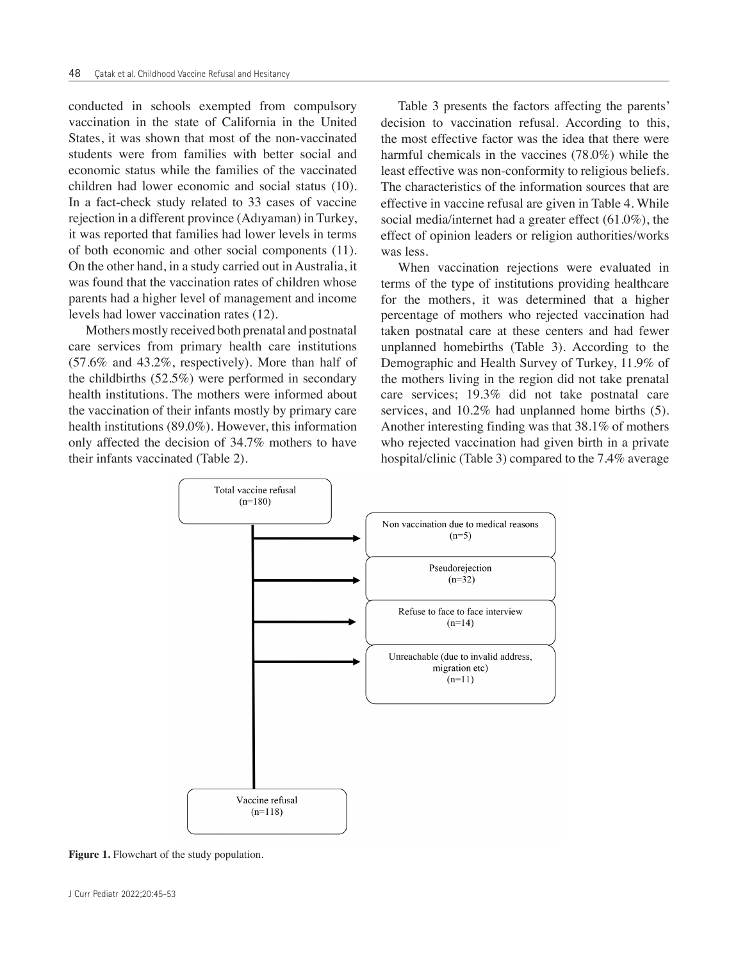conducted in schools exempted from compulsory vaccination in the state of California in the United States, it was shown that most of the non-vaccinated students were from families with better social and economic status while the families of the vaccinated children had lower economic and social status (10). In a fact-check study related to 33 cases of vaccine rejection in a different province (Adıyaman) in Turkey, it was reported that families had lower levels in terms of both economic and other social components (11). On the other hand, in a study carried out in Australia, it was found that the vaccination rates of children whose parents had a higher level of management and income levels had lower vaccination rates (12).

Mothers mostly received both prenatal and postnatal care services from primary health care institutions (57.6% and 43.2%, respectively). More than half of the childbirths (52.5%) were performed in secondary health institutions. The mothers were informed about the vaccination of their infants mostly by primary care health institutions (89.0%). However, this information only affected the decision of 34.7% mothers to have their infants vaccinated (Table 2).

Table 3 presents the factors affecting the parents' decision to vaccination refusal. According to this, the most effective factor was the idea that there were harmful chemicals in the vaccines (78.0%) while the least effective was non-conformity to religious beliefs. The characteristics of the information sources that are effective in vaccine refusal are given in Table 4. While social media/internet had a greater effect (61.0%), the effect of opinion leaders or religion authorities/works was less.

When vaccination rejections were evaluated in terms of the type of institutions providing healthcare for the mothers, it was determined that a higher percentage of mothers who rejected vaccination had taken postnatal care at these centers and had fewer unplanned homebirths (Table 3). According to the Demographic and Health Survey of Turkey, 11.9% of the mothers living in the region did not take prenatal care services; 19.3% did not take postnatal care services, and 10.2% had unplanned home births (5). Another interesting finding was that 38.1% of mothers who rejected vaccination had given birth in a private hospital/clinic (Table 3) compared to the 7.4% average



**Figure 1.** Flowchart of the study population.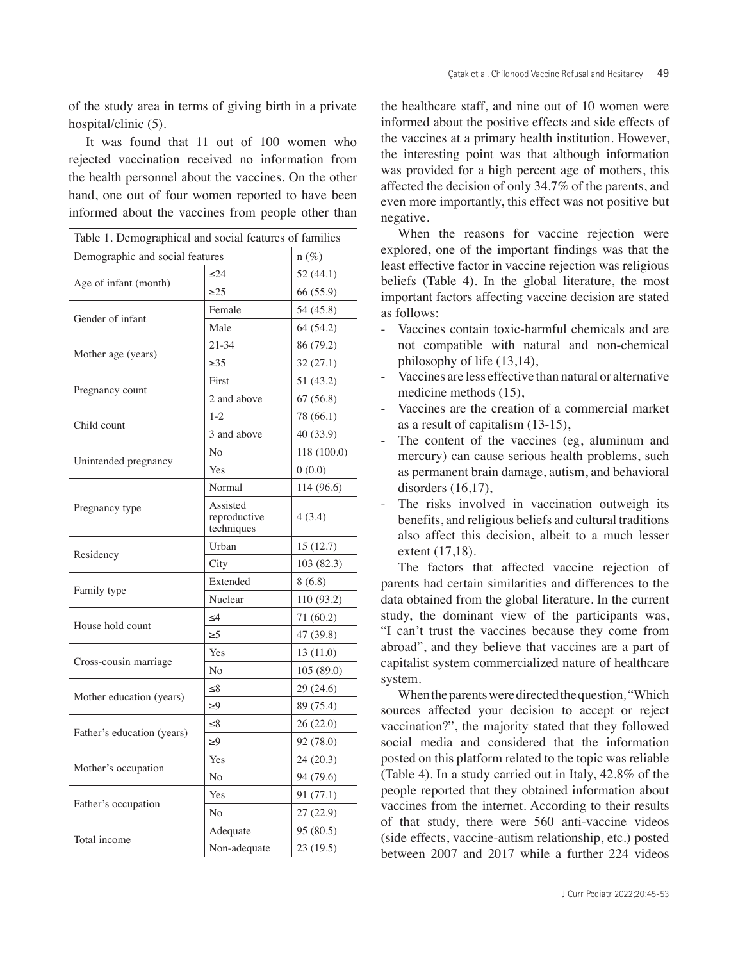of the study area in terms of giving birth in a private hospital/clinic (5).

It was found that 11 out of 100 women who rejected vaccination received no information from the health personnel about the vaccines. On the other hand, one out of four women reported to have been informed about the vaccines from people other than

| Table 1. Demographical and social features of families |                                        |             |  |
|--------------------------------------------------------|----------------------------------------|-------------|--|
| Demographic and social features<br>$n(\%)$             |                                        |             |  |
|                                                        | < 24                                   | 52 (44.1)   |  |
| Age of infant (month)                                  | $\geq$ 25                              | 66 (55.9)   |  |
| Gender of infant                                       | Female                                 | 54 (45.8)   |  |
|                                                        | Male                                   | 64 (54.2)   |  |
|                                                        | $21 - 34$                              | 86 (79.2)   |  |
| Mother age (years)                                     | $\geq 35$                              | 32 (27.1)   |  |
|                                                        | First                                  | 51 (43.2)   |  |
| Pregnancy count                                        | 2 and above                            | 67 (56.8)   |  |
|                                                        | $1 - 2$                                | 78 (66.1)   |  |
| Child count                                            | 3 and above                            | 40 (33.9)   |  |
|                                                        | No                                     | 118 (100.0) |  |
| Unintended pregnancy                                   | Yes                                    | 0(0.0)      |  |
|                                                        | Normal                                 | 114 (96.6)  |  |
| Pregnancy type                                         | Assisted<br>reproductive<br>techniques | 4(3.4)      |  |
|                                                        | Urban                                  | 15(12.7)    |  |
| Residency                                              | City                                   | 103 (82.3)  |  |
|                                                        | Extended                               | 8(6.8)      |  |
| Family type                                            | Nuclear                                | 110 (93.2)  |  |
| House hold count                                       | $\leq 4$                               | 71 (60.2)   |  |
|                                                        | $\geq 5$                               | 47 (39.8)   |  |
|                                                        | Yes                                    | 13 (11.0)   |  |
| Cross-cousin marriage                                  | N <sub>o</sub>                         | 105 (89.0)  |  |
|                                                        | $\leq$ 8                               | 29 (24.6)   |  |
| Mother education (years)                               | $\geq 9$                               | 89 (75.4)   |  |
| Father's education (years)                             | $\leq 8$                               | 26 (22.0)   |  |
|                                                        | >9                                     | 92 (78.0)   |  |
|                                                        | Yes                                    | 24 (20.3)   |  |
| Mother's occupation                                    | N <sub>0</sub>                         | 94 (79.6)   |  |
|                                                        | Yes                                    | 91 (77.1)   |  |
| Father's occupation                                    | No                                     | 27 (22.9)   |  |
| Total income                                           | Adequate                               | 95 (80.5)   |  |
|                                                        | Non-adequate                           | 23 (19.5)   |  |

the healthcare staff, and nine out of 10 women were informed about the positive effects and side effects of the vaccines at a primary health institution. However, the interesting point was that although information was provided for a high percent age of mothers, this affected the decision of only 34.7% of the parents, and even more importantly, this effect was not positive but negative.

When the reasons for vaccine rejection were explored, one of the important findings was that the least effective factor in vaccine rejection was religious beliefs (Table 4). In the global literature, the most important factors affecting vaccine decision are stated as follows:

- Vaccines contain toxic-harmful chemicals and are not compatible with natural and non-chemical philosophy of life (13,14),
- Vaccines are less effective than natural or alternative medicine methods (15)
- Vaccines are the creation of a commercial market as a result of capitalism (13-15),
- The content of the vaccines (eg, aluminum and mercury) can cause serious health problems, such as permanent brain damage, autism, and behavioral disorders  $(16,17)$ ,
- The risks involved in vaccination outweigh its benefits, and religious beliefs and cultural traditions also affect this decision, albeit to a much lesser extent (17,18).

The factors that affected vaccine rejection of parents had certain similarities and differences to the data obtained from the global literature. In the current study, the dominant view of the participants was, "I can't trust the vaccines because they come from abroad", and they believe that vaccines are a part of capitalist system commercialized nature of healthcare system.

When the parents were directed the question*,* "Which sources affected your decision to accept or reject vaccination?", the majority stated that they followed social media and considered that the information posted on this platform related to the topic was reliable (Table 4). In a study carried out in Italy, 42.8% of the people reported that they obtained information about vaccines from the internet. According to their results of that study, there were 560 anti-vaccine videos (side effects, vaccine-autism relationship, etc.) posted between 2007 and 2017 while a further 224 videos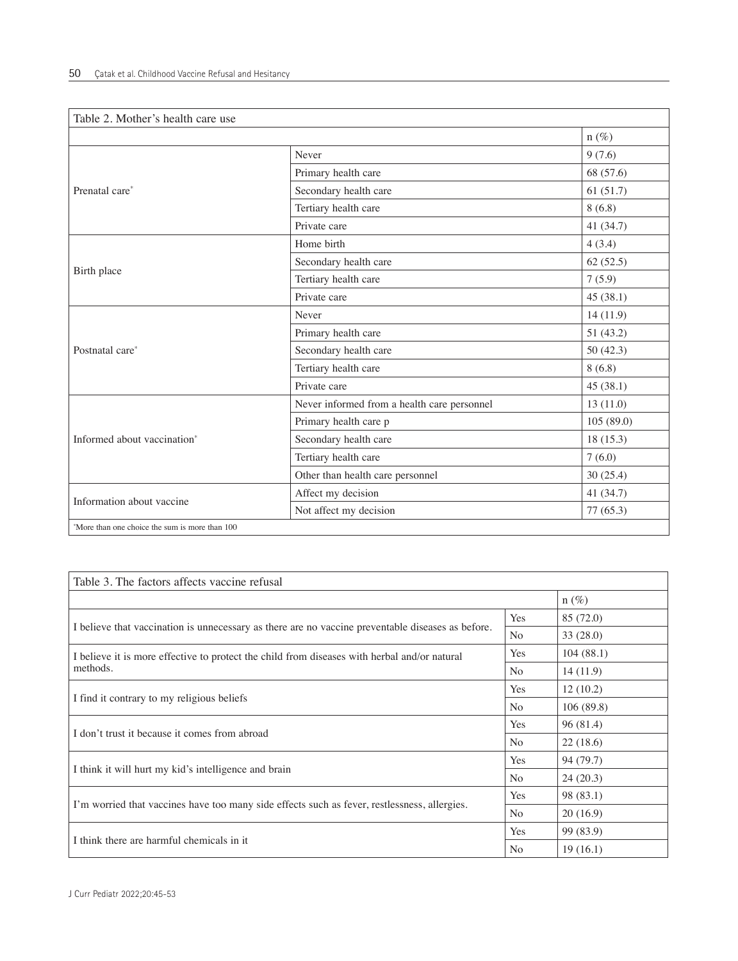| Table 2. Mother's health care use              |                                             |             |
|------------------------------------------------|---------------------------------------------|-------------|
|                                                |                                             | $n(\%)$     |
|                                                | Never                                       | 9(7.6)      |
|                                                | Primary health care                         | 68 (57.6)   |
| Prenatal care*                                 | Secondary health care                       | 61(51.7)    |
|                                                | Tertiary health care                        | 8(6.8)      |
|                                                | Private care                                | 41 $(34.7)$ |
|                                                | Home birth                                  | 4(3.4)      |
| Birth place                                    | Secondary health care                       | 62(52.5)    |
|                                                | Tertiary health care                        | 7(5.9)      |
|                                                | Private care                                | 45(38.1)    |
| Postnatal care*                                | Never                                       | 14(11.9)    |
|                                                | Primary health care                         | 51(43.2)    |
|                                                | Secondary health care                       | 50 $(42.3)$ |
|                                                | Tertiary health care                        | 8(6.8)      |
|                                                | Private care                                | 45(38.1)    |
|                                                | Never informed from a health care personnel | 13(11.0)    |
|                                                | Primary health care p                       | 105(89.0)   |
| Informed about vaccination*                    | Secondary health care                       | 18(15.3)    |
|                                                | Tertiary health care                        | 7(6.0)      |
|                                                | Other than health care personnel            | 30(25.4)    |
| Information about vaccine                      | Affect my decision                          | 41 (34.7)   |
|                                                | Not affect my decision                      | 77 (65.3)   |
| *More than one choice the sum is more than 100 |                                             |             |

| Table 3. The factors affects vaccine refusal                                                      |                |           |  |  |
|---------------------------------------------------------------------------------------------------|----------------|-----------|--|--|
|                                                                                                   | $n(\%)$        |           |  |  |
|                                                                                                   |                | 85 (72.0) |  |  |
| I believe that vaccination is unnecessary as there are no vaccine preventable diseases as before. | N <sub>o</sub> | 33(28.0)  |  |  |
| I believe it is more effective to protect the child from diseases with herbal and/or natural      | Yes            | 104(88.1) |  |  |
| methods.                                                                                          |                | 14(11.9)  |  |  |
| I find it contrary to my religious beliefs                                                        |                | 12(10.2)  |  |  |
|                                                                                                   |                | 106(89.8) |  |  |
| I don't trust it because it comes from abroad                                                     |                | 96(81.4)  |  |  |
|                                                                                                   |                | 22(18.6)  |  |  |
| I think it will hurt my kid's intelligence and brain                                              |                | 94 (79.7) |  |  |
|                                                                                                   |                | 24(20.3)  |  |  |
| I'm worried that vaccines have too many side effects such as fever, restlessness, allergies.      |                | 98 (83.1) |  |  |
|                                                                                                   |                | 20(16.9)  |  |  |
| I think there are harmful chemicals in it.                                                        |                | 99 (83.9) |  |  |
|                                                                                                   |                | 19(16.1)  |  |  |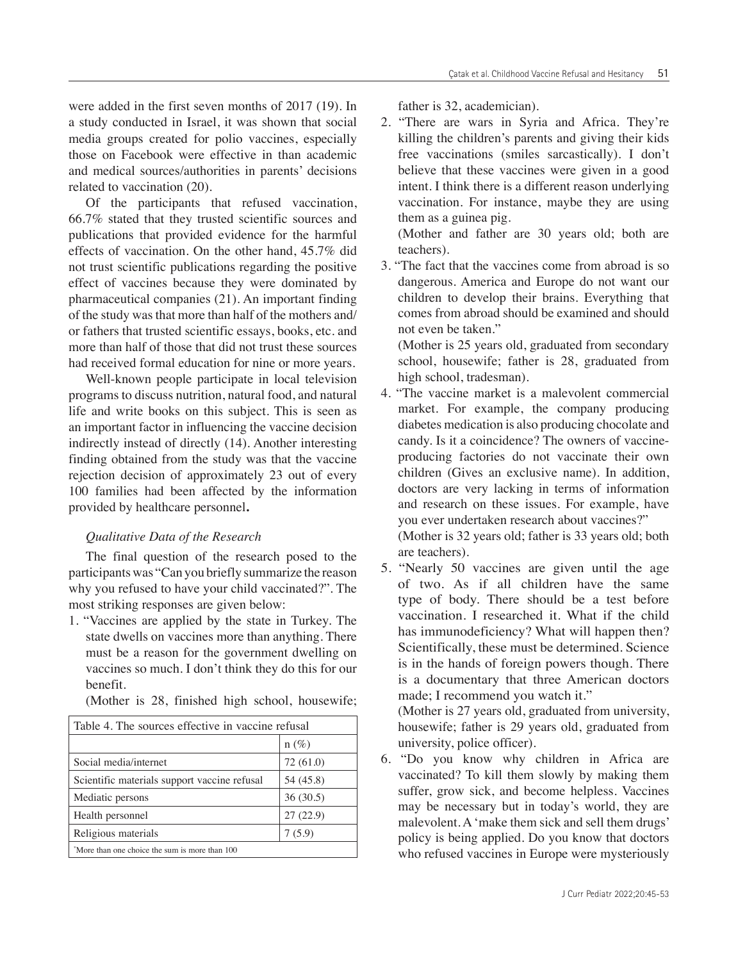were added in the first seven months of 2017 (19). In a study conducted in Israel, it was shown that social media groups created for polio vaccines, especially those on Facebook were effective in than academic and medical sources/authorities in parents' decisions related to vaccination (20).

Of the participants that refused vaccination, 66.7% stated that they trusted scientific sources and publications that provided evidence for the harmful effects of vaccination. On the other hand, 45.7% did not trust scientific publications regarding the positive effect of vaccines because they were dominated by pharmaceutical companies (21). An important finding of the study was that more than half of the mothers and/ or fathers that trusted scientific essays, books, etc. and more than half of those that did not trust these sources had received formal education for nine or more years.

Well-known people participate in local television programs to discuss nutrition, natural food, and natural life and write books on this subject. This is seen as an important factor in influencing the vaccine decision indirectly instead of directly (14). Another interesting finding obtained from the study was that the vaccine rejection decision of approximately 23 out of every 100 families had been affected by the information provided by healthcare personnel**.** 

### *Qualitative Data of the Research*

The final question of the research posed to the participants was "Can you briefly summarize the reason why you refused to have your child vaccinated?". The most striking responses are given below:

1. "Vaccines are applied by the state in Turkey. The state dwells on vaccines more than anything. There must be a reason for the government dwelling on vaccines so much. I don't think they do this for our benefit.

|  |  |  |  |  |  | (Mother is 28, finished high school, housewife; |
|--|--|--|--|--|--|-------------------------------------------------|
|--|--|--|--|--|--|-------------------------------------------------|

| Table 4. The sources effective in vaccine refusal |           |  |  |
|---------------------------------------------------|-----------|--|--|
|                                                   | $n(\%)$   |  |  |
| Social media/internet                             | 72 (61.0) |  |  |
| Scientific materials support vaccine refusal      | 54 (45.8) |  |  |
| Mediatic persons                                  | 36(30.5)  |  |  |
| Health personnel                                  | 27(22.9)  |  |  |
| Religious materials                               | 7(5.9)    |  |  |
| "More than one choice the sum is more than 100    |           |  |  |

father is 32, academician).

2. "There are wars in Syria and Africa. They're killing the children's parents and giving their kids free vaccinations (smiles sarcastically). I don't believe that these vaccines were given in a good intent. I think there is a different reason underlying vaccination. For instance, maybe they are using them as a guinea pig. (Mother and father are 30 years old; both are

teachers).

3. "The fact that the vaccines come from abroad is so dangerous. America and Europe do not want our children to develop their brains. Everything that comes from abroad should be examined and should not even be taken."

(Mother is 25 years old, graduated from secondary school, housewife; father is 28, graduated from high school, tradesman).

- 4. "The vaccine market is a malevolent commercial market. For example, the company producing diabetes medication is also producing chocolate and candy. Is it a coincidence? The owners of vaccineproducing factories do not vaccinate their own children (Gives an exclusive name). In addition, doctors are very lacking in terms of information and research on these issues. For example, have you ever undertaken research about vaccines?" (Mother is 32 years old; father is 33 years old; both are teachers).
- 5. "Nearly 50 vaccines are given until the age of two. As if all children have the same type of body. There should be a test before vaccination. I researched it. What if the child has immunodeficiency? What will happen then? Scientifically, these must be determined. Science is in the hands of foreign powers though. There is a documentary that three American doctors made; I recommend you watch it."

(Mother is 27 years old, graduated from university, housewife; father is 29 years old, graduated from university, police officer).

6. "Do you know why children in Africa are vaccinated? To kill them slowly by making them suffer, grow sick, and become helpless. Vaccines may be necessary but in today's world, they are malevolent. A 'make them sick and sell them drugs' policy is being applied. Do you know that doctors who refused vaccines in Europe were mysteriously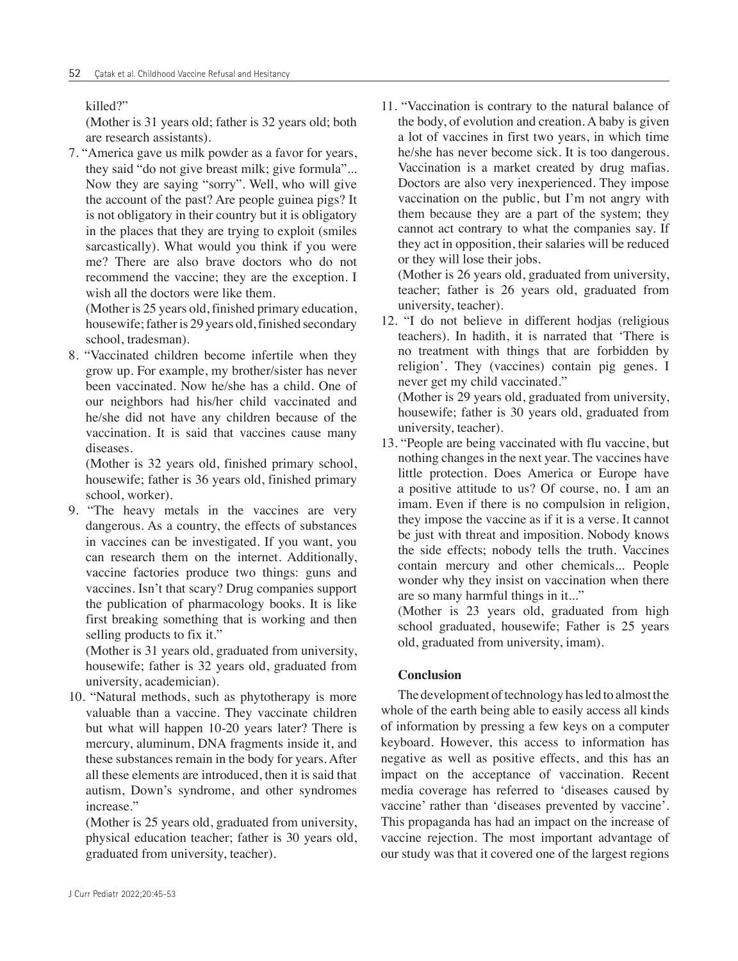## killed?"

(Mother is 31 years old; father is 32 years old; both are research assistants).

7. "America gave us milk powder as a favor for years, they said "do not give breast milk; give formula"... Now they are saying "sorry". Well, who will give the account of the past? Are people guinea pigs? It is not obligatory in their country but it is obligatory in the places that they are trying to exploit (smiles sarcastically). What would you think if you were me? There are also brave doctors who do not recommend the vaccine; they are the exception. I wish all the doctors were like them.

(Mother is 25 years old, finished primary education, housewife; father is 29 years old, finished secondary school, tradesman).

8. "Vaccinated children become infertile when they grow up. For example, my brother/sister has never been vaccinated. Now he/she has a child. One of our neighbors had his/her child vaccinated and he/she did not have any children because of the vaccination. It is said that vaccines cause many diseases.

(Mother is 32 years old, finished primary school, housewife; father is 36 years old, finished primary school, worker).

9. "The heavy metals in the vaccines are very dangerous. As a country, the effects of substances in vaccines can be investigated. If you want, you can research them on the internet. Additionally, vaccine factories produce two things: guns and vaccines. Isn't that scary? Drug companies support the publication of pharmacology books. It is like first breaking something that is working and then selling products to fix it."

(Mother is 31 years old, graduated from university, housewife; father is 32 years old, graduated from university, academician).

10. "Natural methods, such as phytotherapy is more valuable than a vaccine. They vaccinate children but what will happen 10-20 years later? There is mercury, aluminum, DNA fragments inside it, and these substances remain in the body for years. After all these elements are introduced, then it is said that autism, Down's syndrome, and other syndromes increase."

(Mother is 25 years old, graduated from university, physical education teacher; father is 30 years old, graduated from university, teacher).

11. "Vaccination is contrary to the natural balance of the body, of evolution and creation. A baby is given a lot of vaccines in first two years, in which time he/she has never become sick. It is too dangerous. Vaccination is a market created by drug mafias. Doctors are also very inexperienced. They impose vaccination on the public, but I'm not angry with them because they are a part of the system; they cannot act contrary to what the companies say. If they act in opposition, their salaries will be reduced or they will lose their jobs.

(Mother is 26 years old, graduated from university, teacher; father is 26 years old, graduated from university, teacher).

- 12. "I do not believe in different hodjas (religious teachers). In hadith, it is narrated that 'There is no treatment with things that are forbidden by religion'. They (vaccines) contain pig genes. I never get my child vaccinated." (Mother is 29 years old, graduated from university, housewife; father is 30 years old, graduated from university, teacher).
- 13. "People are being vaccinated with flu vaccine, but nothing changes in the next year. The vaccines have little protection. Does America or Europe have a positive attitude to us? Of course, no. I am an imam. Even if there is no compulsion in religion, they impose the vaccine as if it is a verse. It cannot be just with threat and imposition. Nobody knows the side effects; nobody tells the truth. Vaccines contain mercury and other chemicals... People wonder why they insist on vaccination when there are so many harmful things in it..."

(Mother is 23 years old, graduated from high school graduated, housewife; Father is 25 years old, graduated from university, imam).

# **Conclusion**

The development of technology has led to almost the whole of the earth being able to easily access all kinds of information by pressing a few keys on a computer keyboard. However, this access to information has negative as well as positive effects, and this has an impact on the acceptance of vaccination. Recent media coverage has referred to 'diseases caused by vaccine' rather than 'diseases prevented by vaccine'. This propaganda has had an impact on the increase of vaccine rejection. The most important advantage of our study was that it covered one of the largest regions